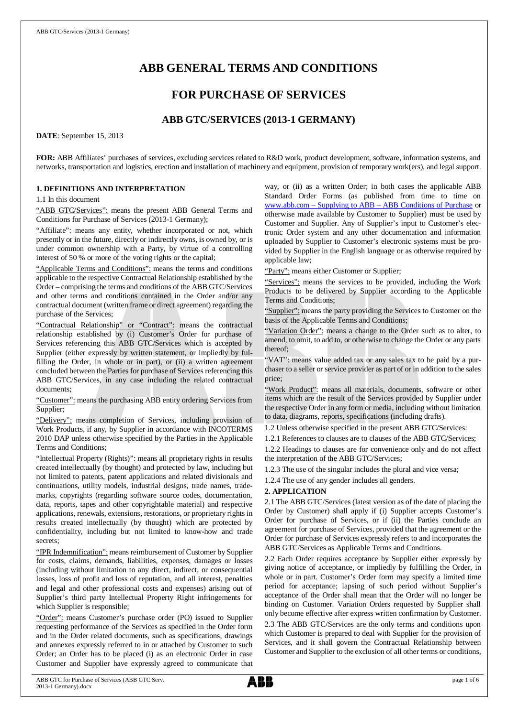# **ABB GENERAL TERMS AND CONDITIONS**

## **FOR PURCHASE OF SERVICES**

## **ABB GTC/SERVICES (2013-1 GERMANY)**

**DATE**: September 15, 2013

**FOR:** ABB Affiliates' purchases of services, excluding services related to R&D work, product development, software, information systems, and networks, transportation and logistics, erection and installation of machinery and equipment, provision of temporary work(ers), and legal support.

## **1. DEFINITIONS AND INTERPRETATION**

1.1 In this document

"ABB GTC/Services": means the present ABB General Terms and Conditions for Purchase of Services (2013-1 Germany);

"Affiliate": means any entity, whether incorporated or not, which presently or in the future, directly or indirectly owns, is owned by, or is under common ownership with a Party, by virtue of a controlling interest of 50 % or more of the voting rights or the capital;

"Applicable Terms and Conditions": means the terms and conditions applicable to the respective Contractual Relationship established by the Order – comprising the terms and conditions of the ABB GTC/Services and other terms and conditions contained in the Order and/or any contractual document (written frame or direct agreement) regarding the purchase of the Services;

"Contractual Relationship" or "Contract": means the contractual relationship established by (i) Customer's Order for purchase of Services referencing this ABB GTC/Services which is accepted by Supplier (either expressly by written statement, or impliedly by fulfilling the Order, in whole or in part), or (ii) a written agreement concluded between the Parties for purchase of Services referencing this ABB GTC/Services, in any case including the related contractual documents;

"Customer": means the purchasing ABB entity ordering Services from Supplier;

"Delivery": means completion of Services, including provision of Work Products, if any, by Supplier in accordance with INCOTERMS 2010 DAP unless otherwise specified by the Parties in the Applicable Terms and Conditions;

"Intellectual Property (Rights)": means all proprietary rights in results created intellectually (by thought) and protected by law, including but not limited to patents, patent applications and related divisionals and continuations, utility models, industrial designs, trade names, trademarks, copyrights (regarding software source codes, documentation, data, reports, tapes and other copyrightable material) and respective applications, renewals, extensions, restorations, or proprietary rights in results created intellectually (by thought) which are protected by confidentiality, including but not limited to know-how and trade secrets;

"IPR Indemnification": means reimbursement of Customer by Supplier for costs, claims, demands, liabilities, expenses, damages or losses (including without limitation to any direct, indirect, or consequential losses, loss of profit and loss of reputation, and all interest, penalties and legal and other professional costs and expenses) arising out of Supplier's third party Intellectual Property Right infringements for which Supplier is responsible;

"Order": means Customer's purchase order (PO) issued to Supplier requesting performance of the Services as specified in the Order form and in the Order related documents, such as specifications, drawings and annexes expressly referred to in or attached by Customer to such Order; an Order has to be placed (i) as an electronic Order in case Customer and Supplier have expressly agreed to communicate that way, or (ii) as a written Order; in both cases the applicable ABB Standard Order Forms (as published from time to time on [www.abb.com](http://www.abb.com/) – Supplying to ABB – ABB Conditions of Purchase or otherwise made available by Customer to Supplier) must be used by Customer and Supplier. Any of Supplier's input to Customer's electronic Order system and any other documentation and information uploaded by Supplier to Customer's electronic systems must be provided by Supplier in the English language or as otherwise required by applicable law;

"Party": means either Customer or Supplier;

"Services": means the services to be provided, including the Work Products to be delivered by Supplier according to the Applicable Terms and Conditions;

"Supplier": means the party providing the Services to Customer on the basis of the Applicable Terms and Conditions;

"Variation Order": means a change to the Order such as to alter, to amend, to omit, to add to, or otherwise to change the Order or any parts thereof;

"VAT": means value added tax or any sales tax to be paid by a purchaser to a seller or service provider as part of or in addition to the sales price;

"Work Product": means all materials, documents, software or other items which are the result of the Services provided by Supplier under the respective Order in any form or media, including without limitation to data, diagrams, reports, specifications (including drafts).

1.2 Unless otherwise specified in the present ABB GTC/Services:

1.2.1 References to clauses are to clauses of the ABB GTC/Services;

1.2.2 Headings to clauses are for convenience only and do not affect the interpretation of the ABB GTC/Services;

1.2.3 The use of the singular includes the plural and vice versa;

1.2.4 The use of any gender includes all genders.

## **2. APPLICATION**

2.1 The ABB GTC/Services (latest version as of the date of placing the Order by Customer) shall apply if (i) Supplier accepts Customer's Order for purchase of Services, or if (ii) the Parties conclude an agreement for purchase of Services, provided that the agreement or the Order for purchase of Services expressly refers to and incorporates the ABB GTC/Services as Applicable Terms and Conditions.

2.2 Each Order requires acceptance by Supplier either expressly by giving notice of acceptance, or impliedly by fulfilling the Order, in whole or in part. Customer's Order form may specify a limited time period for acceptance; lapsing of such period without Supplier's acceptance of the Order shall mean that the Order will no longer be binding on Customer. Variation Orders requested by Supplier shall only become effective after express written confirmation by Customer. 2.3 The ABB GTC/Services are the only terms and conditions upon which Customer is prepared to deal with Supplier for the provision of Services, and it shall govern the Contractual Relationship between Customer and Supplier to the exclusion of all other terms or conditions,

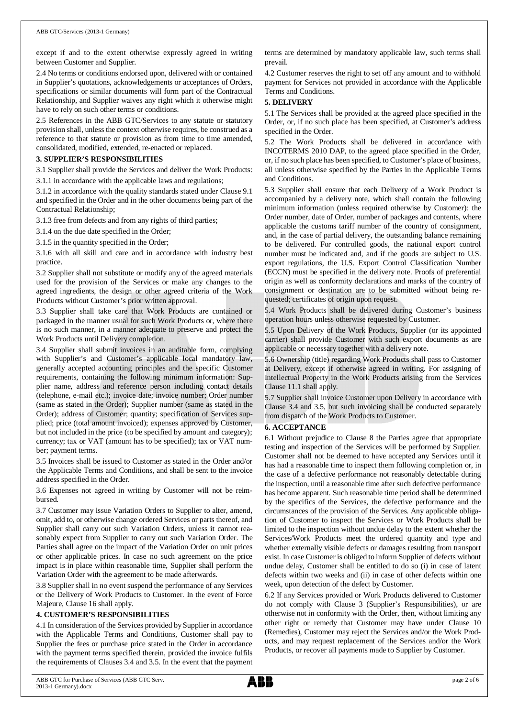except if and to the extent otherwise expressly agreed in writing between Customer and Supplier.

2.4 No terms or conditions endorsed upon, delivered with or contained in Supplier's quotations, acknowledgements or acceptances of Orders, specifications or similar documents will form part of the Contractual Relationship, and Supplier waives any right which it otherwise might have to rely on such other terms or conditions.

2.5 References in the ABB GTC/Services to any statute or statutory provision shall, unless the context otherwise requires, be construed as a reference to that statute or provision as from time to time amended, consolidated, modified, extended, re-enacted or replaced.

### **3. SUPPLIER'S RESPONSIBILITIES**

3.1 Supplier shall provide the Services and deliver the Work Products:

3.1.1 in accordance with the applicable laws and regulations;

3.1.2 in accordance with the quality standards stated under Clause 9.1 and specified in the Order and in the other documents being part of the Contractual Relationship;

3.1.3 free from defects and from any rights of third parties;

3.1.4 on the due date specified in the Order;

3.1.5 in the quantity specified in the Order;

3.1.6 with all skill and care and in accordance with industry best practice.

3.2 Supplier shall not substitute or modify any of the agreed materials used for the provision of the Services or make any changes to the agreed ingredients, the design or other agreed criteria of the Work Products without Customer's prior written approval.

3.3 Supplier shall take care that Work Products are contained or packaged in the manner usual for such Work Products or, where there is no such manner, in a manner adequate to preserve and protect the Work Products until Delivery completion.

3.4 Supplier shall submit invoices in an auditable form, complying with Supplier's and Customer's applicable local mandatory law, generally accepted accounting principles and the specific Customer requirements, containing the following minimum information: Supplier name, address and reference person including contact details (telephone, e-mail etc.); invoice date; invoice number; Order number (same as stated in the Order); Supplier number (same as stated in the Order); address of Customer; quantity; specification of Services supplied; price (total amount invoiced); expenses approved by Customer, but not included in the price (to be specified by amount and category); currency; tax or VAT (amount has to be specified); tax or VAT number; payment terms.

3.5 Invoices shall be issued to Customer as stated in the Order and/or the Applicable Terms and Conditions, and shall be sent to the invoice address specified in the Order.

3.6 Expenses not agreed in writing by Customer will not be reimbursed.

3.7 Customer may issue Variation Orders to Supplier to alter, amend, omit, add to, or otherwise change ordered Services or parts thereof, and Supplier shall carry out such Variation Orders, unless it cannot reasonably expect from Supplier to carry out such Variation Order. The Parties shall agree on the impact of the Variation Order on unit prices or other applicable prices. In case no such agreement on the price impact is in place within reasonable time, Supplier shall perform the Variation Order with the agreement to be made afterwards.

3.8 Supplier shall in no event suspend the performance of any Services or the Delivery of Work Products to Customer. In the event of Force Majeure, Clause 16 shall apply.

## **4. CUSTOMER'S RESPONSIBILITIES**

4.1 In consideration of the Services provided by Supplier in accordance with the Applicable Terms and Conditions, Customer shall pay to Supplier the fees or purchase price stated in the Order in accordance with the payment terms specified therein, provided the invoice fulfils the requirements of Clauses 3.4 and 3.5. In the event that the payment terms are determined by mandatory applicable law, such terms shall prevail.

4.2 Customer reserves the right to set off any amount and to withhold payment for Services not provided in accordance with the Applicable Terms and Conditions.

## **5. DELIVERY**

5.1 The Services shall be provided at the agreed place specified in the Order, or, if no such place has been specified, at Customer's address specified in the Order.

5.2 The Work Products shall be delivered in accordance with INCOTERMS 2010 DAP, to the agreed place specified in the Order, or, if no such place has been specified, to Customer's place of business, all unless otherwise specified by the Parties in the Applicable Terms and Conditions.

5.3 Supplier shall ensure that each Delivery of a Work Product is accompanied by a delivery note, which shall contain the following minimum information (unless required otherwise by Customer): the Order number, date of Order, number of packages and contents, where applicable the customs tariff number of the country of consignment, and, in the case of partial delivery, the outstanding balance remaining to be delivered. For controlled goods, the national export control number must be indicated and, and if the goods are subject to U.S. export regulations, the U.S. Export Control Classification Number (ECCN) must be specified in the delivery note. Proofs of preferential origin as well as conformity declarations and marks of the country of consignment or destination are to be submitted without being requested; certificates of origin upon request.

5.4 Work Products shall be delivered during Customer's business operation hours unless otherwise requested by Customer.

5.5 Upon Delivery of the Work Products, Supplier (or its appointed carrier) shall provide Customer with such export documents as are applicable or necessary together with a delivery note.

5.6 Ownership (title) regarding Work Products shall pass to Customer at Delivery, except if otherwise agreed in writing. For assigning of Intellectual Property in the Work Products arising from the Services Clause 11.1 shall apply.

5.7 Supplier shall invoice Customer upon Delivery in accordance with Clause 3.4 and 3.5, but such invoicing shall be conducted separately from dispatch of the Work Products to Customer.

## **6. ACCEPTANCE**

6.1 Without prejudice to Clause 8 the Parties agree that appropriate testing and inspection of the Services will be performed by Supplier. Customer shall not be deemed to have accepted any Services until it has had a reasonable time to inspect them following completion or, in the case of a defective performance not reasonably detectable during the inspection, until a reasonable time after such defective performance has become apparent. Such reasonable time period shall be determined by the specifics of the Services, the defective performance and the circumstances of the provision of the Services. Any applicable obligation of Customer to inspect the Services or Work Products shall be limited to the inspection without undue delay to the extent whether the Services/Work Products meet the ordered quantity and type and whether externally visible defects or damages resulting from transport exist. In case Customer is obliged to inform Supplier of defects without undue delay, Customer shall be entitled to do so (i) in case of latent defects within two weeks and (ii) in case of other defects within one week, upon detection of the defect by Customer.

6.2 If any Services provided or Work Products delivered to Customer do not comply with Clause 3 (Supplier's Responsibilities), or are otherwise not in conformity with the Order, then, without limiting any other right or remedy that Customer may have under Clause 10 (Remedies), Customer may reject the Services and/or the Work Products, and may request replacement of the Services and/or the Work Products, or recover all payments made to Supplier by Customer.

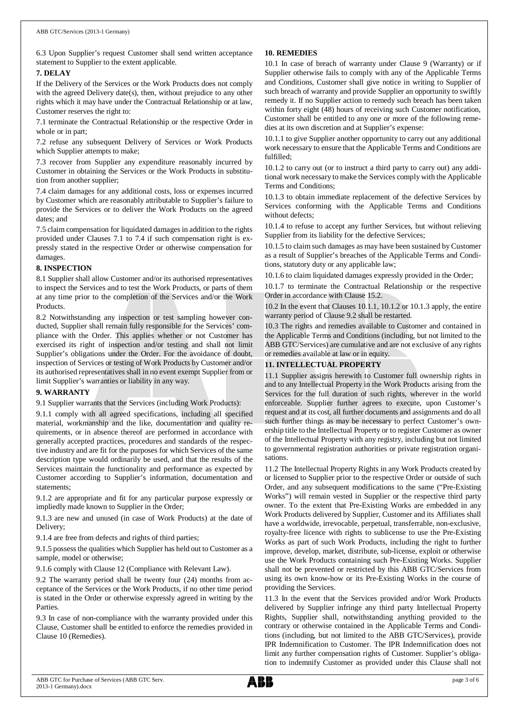6.3 Upon Supplier's request Customer shall send written acceptance statement to Supplier to the extent applicable.

## **7. DELAY**

If the Delivery of the Services or the Work Products does not comply with the agreed Delivery date(s), then, without prejudice to any other rights which it may have under the Contractual Relationship or at law, Customer reserves the right to:

7.1 terminate the Contractual Relationship or the respective Order in whole or in part;

7.2 refuse any subsequent Delivery of Services or Work Products which Supplier attempts to make;

7.3 recover from Supplier any expenditure reasonably incurred by Customer in obtaining the Services or the Work Products in substitution from another supplier;

7.4 claim damages for any additional costs, loss or expenses incurred by Customer which are reasonably attributable to Supplier's failure to provide the Services or to deliver the Work Products on the agreed dates; and

7.5 claim compensation for liquidated damages in addition to the rights provided under Clauses 7.1 to 7.4 if such compensation right is expressly stated in the respective Order or otherwise compensation for damages.

## **8. INSPECTION**

8.1 Supplier shall allow Customer and/or its authorised representatives to inspect the Services and to test the Work Products, or parts of them at any time prior to the completion of the Services and/or the Work Products.

8.2 Notwithstanding any inspection or test sampling however conducted, Supplier shall remain fully responsible for the Services' compliance with the Order. This applies whether or not Customer has exercised its right of inspection and/or testing and shall not limit Supplier's obligations under the Order. For the avoidance of doubt, inspection of Services or testing of Work Products by Customer and/or its authorised representatives shall in no event exempt Supplier from or limit Supplier's warranties or liability in any way.

## **9. WARRANTY**

9.1 Supplier warrants that the Services (including Work Products):

9.1.1 comply with all agreed specifications, including all specified material, workmanship and the like, documentation and quality requirements, or in absence thereof are performed in accordance with generally accepted practices, procedures and standards of the respective industry and are fit for the purposes for which Services of the same description type would ordinarily be used, and that the results of the Services maintain the functionality and performance as expected by Customer according to Supplier's information, documentation and statements;

9.1.2 are appropriate and fit for any particular purpose expressly or impliedly made known to Supplier in the Order;

9.1.3 are new and unused (in case of Work Products) at the date of Delivery;

9.1.4 are free from defects and rights of third parties;

9.1.5 possess the qualities which Supplier has held out to Customer as a sample, model or otherwise;

9.1.6 comply with Clause 12 (Compliance with Relevant Law).

9.2 The warranty period shall be twenty four (24) months from acceptance of the Services or the Work Products, if no other time period is stated in the Order or otherwise expressly agreed in writing by the Parties.

9.3 In case of non-compliance with the warranty provided under this Clause, Customer shall be entitled to enforce the remedies provided in Clause 10 (Remedies).

## **10. REMEDIES**

10.1 In case of breach of warranty under Clause 9 (Warranty) or if Supplier otherwise fails to comply with any of the Applicable Terms and Conditions, Customer shall give notice in writing to Supplier of such breach of warranty and provide Supplier an opportunity to swiftly remedy it. If no Supplier action to remedy such breach has been taken within forty eight (48) hours of receiving such Customer notification, Customer shall be entitled to any one or more of the following remedies at its own discretion and at Supplier's expense:

10.1.1 to give Supplier another opportunity to carry out any additional work necessary to ensure that the Applicable Terms and Conditions are fulfilled;

10.1.2 to carry out (or to instruct a third party to carry out) any additional work necessary to make the Services comply with the Applicable Terms and Conditions;

10.1.3 to obtain immediate replacement of the defective Services by Services conforming with the Applicable Terms and Conditions without defects;

10.1.4 to refuse to accept any further Services, but without relieving Supplier from its liability for the defective Services;

10.1.5 to claim such damages as may have been sustained by Customer as a result of Supplier's breaches of the Applicable Terms and Conditions, statutory duty or any applicable law;

10.1.6 to claim liquidated damages expressly provided in the Order;

10.1.7 to terminate the Contractual Relationship or the respective Order in accordance with Clause 15.2.

10.2 In the event that Clauses 10.1.1, 10.1.2 or 10.1.3 apply, the entire warranty period of Clause 9.2 shall be restarted.

10.3 The rights and remedies available to Customer and contained in the Applicable Terms and Conditions (including, but not limited to the ABB GTC/Services) are cumulative and are not exclusive of any rights or remedies available at law or in equity.

## **11. INTELLECTUAL PROPERTY**

11.1 Supplier assigns herewith to Customer full ownership rights in and to any Intellectual Property in the Work Products arising from the Services for the full duration of such rights, wherever in the world enforceable. Supplier further agrees to execute, upon Customer's request and at its cost, all further documents and assignments and do all such further things as may be necessary to perfect Customer's ownership title to the Intellectual Property or to register Customer as owner of the Intellectual Property with any registry, including but not limited to governmental registration authorities or private registration organisations.

11.2 The Intellectual Property Rights in any Work Products created by or licensed to Supplier prior to the respective Order or outside of such Order, and any subsequent modifications to the same ("Pre-Existing Works") will remain vested in Supplier or the respective third party owner. To the extent that Pre-Existing Works are embedded in any Work Products delivered by Supplier, Customer and its Affiliates shall have a worldwide, irrevocable, perpetual, transferrable, non-exclusive, royalty-free licence with rights to sublicense to use the Pre-Existing Works as part of such Work Products, including the right to further improve, develop, market, distribute, sub-license, exploit or otherwise use the Work Products containing such Pre-Existing Works. Supplier shall not be prevented or restricted by this ABB GTC/Services from using its own know-how or its Pre-Existing Works in the course of providing the Services.

11.3 In the event that the Services provided and/or Work Products delivered by Supplier infringe any third party Intellectual Property Rights, Supplier shall, notwithstanding anything provided to the contrary or otherwise contained in the Applicable Terms and Conditions (including, but not limited to the ABB GTC/Services), provide IPR Indemnification to Customer. The IPR Indemnification does not limit any further compensation rights of Customer. Supplier's obligation to indemnify Customer as provided under this Clause shall not

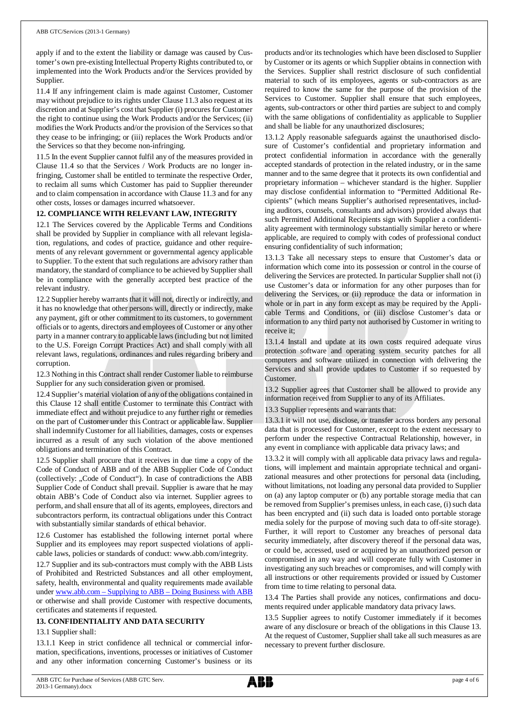apply if and to the extent the liability or damage was caused by Customer's own pre-existing Intellectual Property Rights contributed to, or implemented into the Work Products and/or the Services provided by Supplier.

11.4 If any infringement claim is made against Customer, Customer may without prejudice to its rights under Clause 11.3 also request at its discretion and at Supplier's cost that Supplier (i) procures for Customer the right to continue using the Work Products and/or the Services; (ii) modifies the Work Products and/or the provision of the Services so that they cease to be infringing; or (iii) replaces the Work Products and/or the Services so that they become non-infringing.

11.5 In the event Supplier cannot fulfil any of the measures provided in Clause 11.4 so that the Services / Work Products are no longer infringing, Customer shall be entitled to terminate the respective Order, to reclaim all sums which Customer has paid to Supplier thereunder and to claim compensation in accordance with Clause 11.3 and for any other costs, losses or damages incurred whatsoever.

## **12. COMPLIANCE WITH RELEVANT LAW, INTEGRITY**

12.1 The Services covered by the Applicable Terms and Conditions shall be provided by Supplier in compliance with all relevant legislation, regulations, and codes of practice, guidance and other requirements of any relevant government or governmental agency applicable to Supplier. To the extent that such regulations are advisory rather than mandatory, the standard of compliance to be achieved by Supplier shall be in compliance with the generally accepted best practice of the relevant industry.

12.2 Supplier hereby warrants that it will not, directly or indirectly, and it has no knowledge that other persons will, directly or indirectly, make any payment, gift or other commitment to its customers, to government officials or to agents, directors and employees of Customer or any other party in a manner contrary to applicable laws (including but not limited to the U.S. Foreign Corrupt Practices Act) and shall comply with all relevant laws, regulations, ordinances and rules regarding bribery and corruption.

12.3 Nothing in this Contract shall render Customer liable to reimburse Supplier for any such consideration given or promised.

12.4 Supplier's material violation of any of the obligations contained in this Clause 12 shall entitle Customer to terminate this Contract with immediate effect and without prejudice to any further right or remedies on the part of Customer under this Contract or applicable law. Supplier shall indemnify Customer for all liabilities, damages, costs or expenses incurred as a result of any such violation of the above mentioned obligations and termination of this Contract.

12.5 Supplier shall procure that it receives in due time a copy of the Code of Conduct of ABB and of the ABB Supplier Code of Conduct (collectively: "Code of Conduct"). In case of contradictions the ABB Supplier Code of Conduct shall prevail. Supplier is aware that he may obtain ABB's Code of Conduct also via internet. Supplier agrees to perform, and shall ensure that all of its agents, employees, directors and subcontractors perform, its contractual obligations under this Contract with substantially similar standards of ethical behavior.

12.6 Customer has established the following internet portal where Supplier and its employees may report suspected violations of applicable laws, policies or standards of conduct: www.abb.com/integrity.

12.7 Supplier and its sub-contractors must comply with the ABB Lists of Prohibited and Restricted Substances and all other employment, safety, health, environmental and quality requirements made available under [www.abb.com](http://www.abb.com/) – Supplying to ABB – Doing Business with ABB or otherwise and shall provide Customer with respective documents, certificates and statements if requested.

#### **13. CONFIDENTIALITY AND DATA SECURITY**

#### 13.1 Supplier shall:

13.1.1 Keep in strict confidence all technical or commercial information, specifications, inventions, processes or initiatives of Customer and any other information concerning Customer's business or its

products and/or its technologies which have been disclosed to Supplier by Customer or its agents or which Supplier obtains in connection with the Services. Supplier shall restrict disclosure of such confidential material to such of its employees, agents or sub-contractors as are required to know the same for the purpose of the provision of the Services to Customer. Supplier shall ensure that such employees, agents, sub-contractors or other third parties are subject to and comply with the same obligations of confidentiality as applicable to Supplier and shall be liable for any unauthorized disclosures;

13.1.2 Apply reasonable safeguards against the unauthorised disclosure of Customer's confidential and proprietary information and protect confidential information in accordance with the generally accepted standards of protection in the related industry, or in the same manner and to the same degree that it protects its own confidential and proprietary information – whichever standard is the higher. Supplier may disclose confidential information to "Permitted Additional Recipients" (which means Supplier's authorised representatives, including auditors, counsels, consultants and advisors) provided always that such Permitted Additional Recipients sign with Supplier a confidentiality agreement with terminology substantially similar hereto or where applicable, are required to comply with codes of professional conduct ensuring confidentiality of such information;

13.1.3 Take all necessary steps to ensure that Customer's data or information which come into its possession or control in the course of delivering the Services are protected. In particular Supplier shall not (i) use Customer's data or information for any other purposes than for delivering the Services, or (ii) reproduce the data or information in whole or in part in any form except as may be required by the Applicable Terms and Conditions, or (iii) disclose Customer's data or information to any third party not authorised by Customer in writing to receive it;

13.1.4 Install and update at its own costs required adequate virus protection software and operating system security patches for all computers and software utilized in connection with delivering the Services and shall provide updates to Customer if so requested by Customer.

13.2 Supplier agrees that Customer shall be allowed to provide any information received from Supplier to any of its Affiliates.

13.3 Supplier represents and warrants that:

13.3.1 it will not use, disclose, or transfer across borders any personal data that is processed for Customer, except to the extent necessary to perform under the respective Contractual Relationship, however, in any event in compliance with applicable data privacy laws; and

13.3.2 it will comply with all applicable data privacy laws and regulations, will implement and maintain appropriate technical and organizational measures and other protections for personal data (including, without limitations, not loading any personal data provided to Supplier on (a) any laptop computer or (b) any portable storage media that can be removed from Supplier's premises unless, in each case, (i) such data has been encrypted and (ii) such data is loaded onto portable storage media solely for the purpose of moving such data to off-site storage). Further, it will report to Customer any breaches of personal data security immediately, after discovery thereof if the personal data was, or could be, accessed, used or acquired by an unauthorized person or compromised in any way and will cooperate fully with Customer in investigating any such breaches or compromises, and will comply with all instructions or other requirements provided or issued by Customer from time to time relating to personal data.

13.4 The Parties shall provide any notices, confirmations and documents required under applicable mandatory data privacy laws.

13.5 Supplier agrees to notify Customer immediately if it becomes aware of any disclosure or breach of the obligations in this Clause 13. At the request of Customer, Supplier shall take all such measures as are necessary to prevent further disclosure.

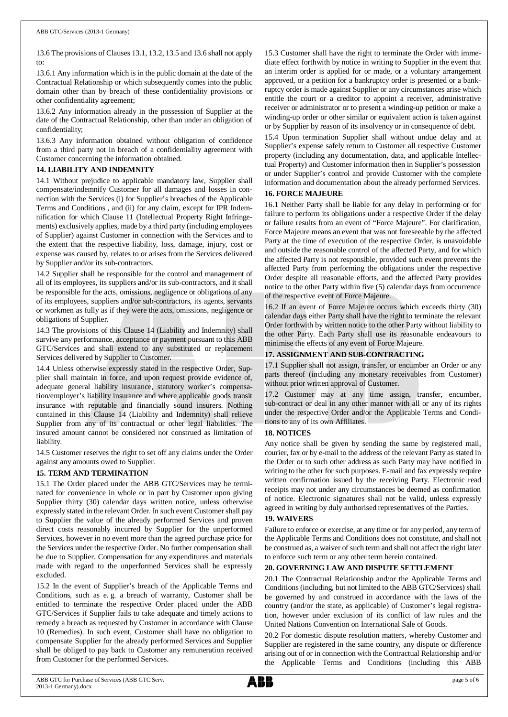13.6 The provisions of Clauses 13.1, 13.2, 13.5 and 13.6 shall not apply to:

13.6.1 Any information which is in the public domain at the date of the Contractual Relationship or which subsequently comes into the public domain other than by breach of these confidentiality provisions or other confidentiality agreement;

13.6.2 Any information already in the possession of Supplier at the date of the Contractual Relationship, other than under an obligation of confidentiality;

13.6.3 Any information obtained without obligation of confidence from a third party not in breach of a confidentiality agreement with Customer concerning the information obtained.

## **14. LIABILITY AND INDEMNITY**

14.1 Without prejudice to applicable mandatory law, Supplier shall compensate/indemnify Customer for all damages and losses in connection with the Services (i) for Supplier's breaches of the Applicable Terms and Conditions , and (ii) for any claim, except for IPR Indemnification for which Clause 11 (Intellectual Property Right Infringements) exclusively applies, made by a third party (including employees of Supplier) against Customer in connection with the Services and to the extent that the respective liability, loss, damage, injury, cost or expense was caused by, relates to or arises from the Services delivered by Supplier and/or its sub-contractors.

14.2 Supplier shall be responsible for the control and management of all of its employees, its suppliers and/or its sub-contractors, and it shall be responsible for the acts, omissions, negligence or obligations of any of its employees, suppliers and/or sub-contractors, its agents, servants or workmen as fully as if they were the acts, omissions, negligence or obligations of Supplier.

14.3 The provisions of this Clause 14 (Liability and Indemnity) shall survive any performance, acceptance or payment pursuant to this ABB GTC/Services and shall extend to any substituted or replacement Services delivered by Supplier to Customer.

14.4 Unless otherwise expressly stated in the respective Order, Supplier shall maintain in force, and upon request provide evidence of, adequate general liability insurance, statutory worker's compensation/employer's liability insurance and where applicable goods transit insurance with reputable and financially sound insurers. Nothing contained in this Clause 14 (Liability and Indemnity) shall relieve Supplier from any of its contractual or other legal liabilities. The insured amount cannot be considered nor construed as limitation of liability.

14.5 Customer reserves the right to set off any claims under the Order against any amounts owed to Supplier.

## **15. TERM AND TERMINATION**

15.1 The Order placed under the ABB GTC/Services may be terminated for convenience in whole or in part by Customer upon giving Supplier thirty (30) calendar days written notice, unless otherwise expressly stated in the relevant Order. In such event Customer shall pay to Supplier the value of the already performed Services and proven direct costs reasonably incurred by Supplier for the unperformed Services, however in no event more than the agreed purchase price for the Services under the respective Order. No further compensation shall be due to Supplier. Compensation for any expenditures and materials made with regard to the unperformed Services shall be expressly excluded.

15.2 In the event of Supplier's breach of the Applicable Terms and Conditions, such as e. g. a breach of warranty, Customer shall be entitled to terminate the respective Order placed under the ABB GTC/Services if Supplier fails to take adequate and timely actions to remedy a breach as requested by Customer in accordance with Clause 10 (Remedies). In such event, Customer shall have no obligation to compensate Supplier for the already performed Services and Supplier shall be obliged to pay back to Customer any remuneration received from Customer for the performed Services.

15.3 Customer shall have the right to terminate the Order with immediate effect forthwith by notice in writing to Supplier in the event that an interim order is applied for or made, or a voluntary arrangement approved, or a petition for a bankruptcy order is presented or a bankruptcy order is made against Supplier or any circumstances arise which entitle the court or a creditor to appoint a receiver, administrative receiver or administrator or to present a winding-up petition or make a winding-up order or other similar or equivalent action is taken against or by Supplier by reason of its insolvency or in consequence of debt.

15.4 Upon termination Supplier shall without undue delay and at Supplier's expense safely return to Customer all respective Customer property (including any documentation, data, and applicable Intellectual Property) and Customer information then in Supplier's possession or under Supplier's control and provide Customer with the complete information and documentation about the already performed Services.

## **16. FORCE MAJEURE**

16.1 Neither Party shall be liable for any delay in performing or for failure to perform its obligations under a respective Order if the delay or failure results from an event of "Force Majeure". For clarification, Force Majeure means an event that was not foreseeable by the affected Party at the time of execution of the respective Order, is unavoidable and outside the reasonable control of the affected Party, and for which the affected Party is not responsible, provided such event prevents the affected Party from performing the obligations under the respective Order despite all reasonable efforts, and the affected Party provides notice to the other Party within five (5) calendar days from occurrence of the respective event of Force Majeure.

16.2 If an event of Force Majeure occurs which exceeds thirty (30) calendar days either Party shall have the right to terminate the relevant Order forthwith by written notice to the other Party without liability to the other Party. Each Party shall use its reasonable endeavours to minimise the effects of any event of Force Majeure.

## **17. ASSIGNMENT AND SUB-CONTRACTING**

17.1 Supplier shall not assign, transfer, or encumber an Order or any parts thereof (including any monetary receivables from Customer) without prior written approval of Customer.

17.2 Customer may at any time assign, transfer, encumber, sub-contract or deal in any other manner with all or any of its rights under the respective Order and/or the Applicable Terms and Conditions to any of its own Affiliates.

## **18. NOTICES**

Any notice shall be given by sending the same by registered mail, courier, fax or by e-mail to the address of the relevant Party as stated in the Order or to such other address as such Party may have notified in writing to the other for such purposes. E-mail and fax expressly require written confirmation issued by the receiving Party. Electronic read receipts may not under any circumstances be deemed as confirmation of notice. Electronic signatures shall not be valid, unless expressly agreed in writing by duly authorised representatives of the Parties.

## **19. WAIVERS**

Failure to enforce or exercise, at any time or for any period, any term of the Applicable Terms and Conditions does not constitute, and shall not be construed as, a waiver of such term and shall not affect the right later to enforce such term or any other term herein contained.

## **20. GOVERNING LAW AND DISPUTE SETTLEMENT**

20.1 The Contractual Relationship and/or the Applicable Terms and Conditions (including, but not limited to the ABB GTC/Services) shall be governed by and construed in accordance with the laws of the country (and/or the state, as applicable) of Customer's legal registration, however under exclusion of its conflict of law rules and the United Nations Convention on International Sale of Goods.

20.2 For domestic dispute resolution matters, whereby Customer and Supplier are registered in the same country, any dispute or difference arising out of or in connection with the Contractual Relationship and/or the Applicable Terms and Conditions (including this ABB